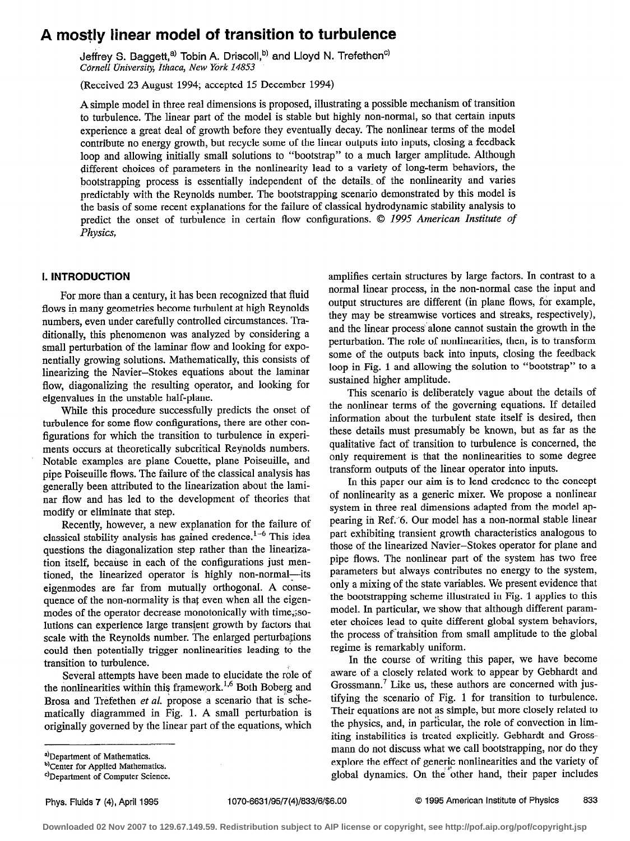# A mostly linear model of transition to tur

Jeffrey S. Baggett,<sup>a)</sup> Tobin A. Driscoll,<sup>9)</sup> and Lloyd N. Trefethen<sup>o</sup> Cornell University, Ithaca, New York 14853

(Received 23 August 1994; accepted 15 December 1994)

A simple model in three real dimensions is proposed, illustrating a possible mechanism of transition to turbulence. The linear part of the model is stable but highly non-normal, so that certain inputs experience a great deal of growth before they eventually decay. The nonlinear terms of the model contribute no energy growth, but recycle some of the linear outputs into inputs, closing a feedback loop and allowing initially small solutions to "bootstrap" to a much larger amplitude. Although different choices of parameters in the nonlinearity lead to a variety of long-term behaviors, the bootstrapping process is essentially independent of the details- of the nonlinearity and varies predictably with the Reynolds number. The bootstrapping scenario demonstrated by this model is the basis of some recent explanations for the failure of classical hydrodynamic stability analysis to predict the onset of turbulence in certain flow configurations.  $© 1995$  American Institute of Physics,

# I. INTRODUCTION

For more than a century, it has been recognized that fluid flows in many geometries become turbulent at high Reynolds numbers, even under carefully controlled circumstances. Traditionally, this phenomenon was analyzed by considering a small perturbation of the laminar flow and looking for exponentially growing solutions. Mathematically, this consists of linearizing the Navier-Stokes equations about the laminar flow, diagonalizing the resulting operator, and looking for eigenvalues in the unstable half-plane.

While this procedure successfully predicts the onset of turbulence for some flow configurations, there are other configurations for which the transition to turbulence in experiments occurs at theoretically subcritical Reynolds numbers. Notable examples are plane Couette, plane Poiseuille, and pipe Poiseuille flows. The failure of the classical analysis has generally been attributed to the linearization about the laminar flow and has led to the development of theories that modify or eliminate that step.

Recently, however, a new explanation for the failure of classical stability analysis has gained credence.<sup>1-6</sup> This idea questions the diagonalization step rather than the linearization itself, because in each of the configurations just mentioned, the linearized operator is highly non-normal-its eigenmodes are far from mutually orthogonal. A consequence of the non-normality is that even when all the eigenmodes of the operator decrease monotonically with time;;solutions can experience large transient growth by factors that scale with the Reynolds number. The enlarged perturbations could then potentially trigger nonlinearities leading to the transition to turbulence.

Several attempts have been made to elucidate the role of the nonlinearities within this framework.<sup>1,6</sup> Both Boberg and Brosa and Trefethen et al. propose a scenario that is schematically diagrammed in Fig. 1. A small perturbation is originally governed by the linear part of the equations, which

a)Department of Mathematics.

b)Center for Applied Mathematics.

')Department of Computer Science.

amplifies certain structures by large factors. In contrast to a normal linear process, in the non-normal case the input and output structures are different (in plane flows, for example, they may be streamwise vortices and streaks, respectively), and the linear process'alone cannot sustain the growth in the perturbation. The role of nonlinearities, then, is to transform some of the outputs back into inputs, closing the feedback loop in Fig. 1 and allowing the solution to "bootstrap" to a sustained higher amplitude.

This scenario is deliberately vague about the details of the nonlinear terms of the governing equations. If detailed information about the turbulent state itself is desired, then these details must presumably be known, but as far as the qualitative fact of transition to turbulence is concerned, the only requirement is that the nonlinearities to some degree transform outputs of the linear operator into inputs.

In this paper our aim is to lend credence to the concept of nonlinearity as a generic mixer. We propose a nonlinear system in three real dimensions adapted from the model appearing in Ref. 6. Our model has a non-normal stable linear part exhibiting transient growth characteristics analogous to those of the linearized Navier-Stokes operator for plane and pipe flows. The nonlinear part of the system has two free parameters but always contributes no energy to the system, only a mixing of the state variables. We present evidence that the bootstrapping scheme illustrated in Fig. 1 applies to this model. In particular, we show that although different parameter choices lead to quite different global system behaviors, the process of'trahsition from small amplitude to the global regime is remarkably uniform.

In the course of writing this paper, we have become aware of a closely related work to appear by Gebhardt and Grossmann.<sup>7</sup> Like us, these authors are concerned with justifying the scenario of Fig. 1 for transition to turbulence. Their equations are not as simple, but more closely related to the physics, and, in particular, the role of convection in limiting instabilities is treated explicitly. Gebhardt and Grossmann do not discuss what we call bootstrapping, nor do they explore the effect of generic nonlinearities and the variety of global dynamics. On the other hand, their paper includes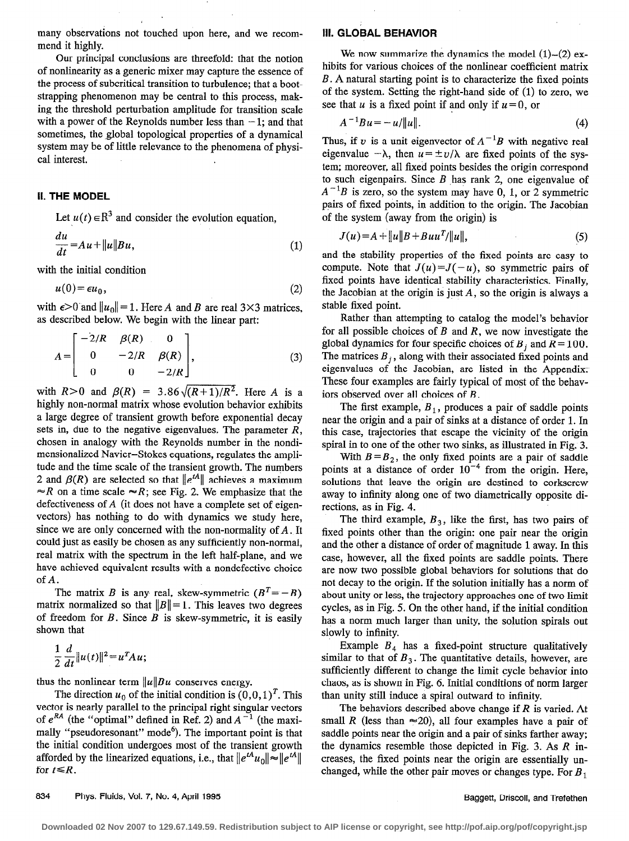many observations not touched upon here, and we recommend it highly.

Our principal conclusions are threefold: that the notion of nonlinearity as a generic mixer may capture the essence of the process of subcritical transition to turbulence; that a bootstrapping phenomenon may be central to this process, making the threshold perturbation amplitude for transition scale with a power of the Reynolds number less than  $-1$ ; and that sometimes, the global topological properties of a dynamical system may be of little relevance to the phenomena of physical interest.

### II. THE MODEL

Let  $u(t) \in \mathbb{R}^3$  and consider the evolution equation,

$$
\frac{du}{dt} = Au + ||u||Bu,
$$
\n(1)

with the initial condition

$$
u(0) = \epsilon u_0, \tag{2}
$$

with  $\epsilon > 0$  and  $||u_0|| = 1$ . Here A and B are real 3×3 matrices, as described below. We begin with the linear part:

$$
A = \begin{bmatrix} -2/R & \beta(R) & 0 \\ 0 & -2/R & \beta(R) \\ 0 & 0 & -2/R \end{bmatrix},
$$
 (3)

with  $R>0$  and  $\beta(R) = 3.86\sqrt{(R+1)/R^2}$ . Here A is a highly non-normal matrix whose evolution behavior exhibits a large degree of transient growth before exponential decay sets in, due to the negative eigenvalues. The parameter  $R$ , chosen in analogy with the Reynolds number in the nondimensionalized Navier-Stokes equations, regulates the amplitude and the time scale of the transient growth. The numbers 2 and  $\beta(R)$  are selected so that  $||e^{tA}||$  achieves a maximum  $\approx R$  on a time scale  $\approx R$ ; see Fig. 2. We emphasize that the defectiveness of A (it does not have a complete set of eigenvectors) has nothing to do with dynamics we study here, since we are only concerned with the non-normality of A. It could just as easily be chosen as any sufficiently non-normal, real matrix with the spectrum in the left half-plane, and we have achieved equivalent results with a nondefective choice ofA.

The matrix B is any real, skew-symmetric  $(B^T = -B)$ matrix normalized so that  $||B||= 1$ . This leaves two degrees of freedom for  $B$ . Since  $B$  is skew-symmetric, it is easily shown that

$$
\frac{1}{2}\frac{d}{dt}\|u(t)\|^2 = u^T A u;
$$

thus the nonlinear term  $||u||Bu$  conserves energy.

The direction  $u_0$  of the initial condition is  $(0,0,1)^T$ . This vector is nearly parallel to the principal right singular vectors of  $e^{RA}$  (the "optimal" defined in Ref. 2) and  $A^{-1}$  (the maximally "pseudoresonant" mode<sup>6</sup>). The important point is that the initial condition undergoes most of the transient growth afforded by the linearized equations, i.e., that  $||e^{tA}u_0|| \approx ||e^{tA}||$ for  $t \leq R$ .

### **III. GLOBAL BEHAVIOR**

We now summarize the dynamics the model  $(1)$ - $(2)$  exhibits for various choices of the nonlinear coefficient matrix B. A natural starting point is to characterize the fixed points of the system. Setting the right-hand side of (1) to zero, we see that u is a fixed point if and only if  $u=0$ , or

$$
A^{-1}Bu = -u/\|u\|.\tag{4}
$$

Thus, if v is a unit eigenvector of  $A^{-1}B$  with negative real eigenvalue  $-\lambda$ , then  $u = \pm v/\lambda$  are fixed points of the system; moreover, all fixed points besides the origin correspond to such eigenpairs. Since  $B$  has rank 2, one eigenvalue of  $A^{-1}B$  is zero, so the system may have 0, 1, or 2 symmetric pairs of fixed points, in addition to the origin. The Jacobian of the system (away from the origin) is

$$
J(u) = A + ||u||B + BuuT/||u||,
$$
\n(5)

and the stability properties of the fixed points are easy to compute. Note that  $J(u)=J(-u)$ , so symmetric pairs of fixed points have identical stability characteristics. Finally, the Jacobian at the origin is just  $A$ , so the origin is always a stable fixed point.

Rather than attempting to catalog the model's behavior for all possible choices of  $B$  and  $R$ , we now investigate the global dynamics for four specific choices of  $B_i$  and  $R = 100$ . The matrices  $B_j$ , along with their associated fixed points and eigenvalues of the Jacobian, are listed in the Appendix; These four examples are fairly typical of most of the behaviors observed over all choices of B.

The first example,  $B_1$ , produces a pair of saddle points near the origin and a pair of sinks at a distance of order 1. In this case, trajectories that escape the vicinity of the origin spiral in to one of the other two sinks, as illustrated in Fig. 3.

With  $B = B_2$ , the only fixed points are a pair of saddle points at a distance of order  $10^{-4}$  from the origin. Here, solutions that leave the origin are destined to corkscrew away to infinity along one of two diametrically opposite directions, as in Fig. 4.

The third example,  $B_3$ , like the first, has two pairs of fixed points other than the origin: one pair near the origin and the other a distance of order of magnitude 1 away. En this case, however, all the fixed points are saddle points. There are now two possible global behaviors for solutions that do not decay to the origin. If the solution initially has a norm of about unity or less, the trajectory approaches one of two limit cycles, as in Fig. 5. On the other hand, if the initial condition has a norm much larger than unity, the solution spirals out slowly to infinity.

Example  $B_4$  has a fixed-point structure qualitatively similar to that of  $B_3$ . The quantitative details, however, are sufficiently different to change the limit cycle behavior into chaos, as is shown in Fig. 6. Initial conditions of norm larger than unity still induce a spiral outward to infinity.

The behaviors described above change if  $R$  is varied. At small R (less than  $\approx$  20), all four examples have a pair of saddle points near the origin and a pair of sinks farther away; the dynamics resemble those depicted in Fig. 3. As  $R$  increases, the fixed points near the origin are essentially unchanged, while the other pair moves or changes type. For  $B_1$ 

a34 Phys. Fluids, Vol. 7, No. 4, April 1995

Baggett, Driscoll, and Trefethen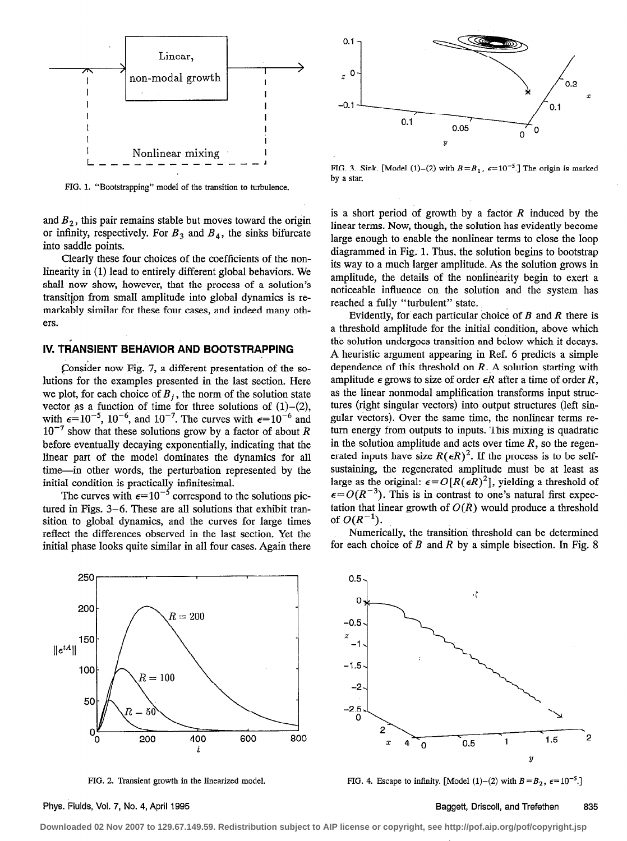

FIG. 1. "Bootstrapping" model of the transition to turbulence.

and  $B_2$ , this pair remains stable but moves toward the origin or infinity, respectively. For  $B_3$  and  $B_4$ , the sinks bifurcate into saddle points.

Clearly these four choices of the coefficients of the nonlinearity in (1) lead to entirely different global behaviors. We shall now show, however, that the process of a solution's transition from small amplitude into global dynamics is remarkably similar for these four cases, and indeed many others.

# IV. TRANSIENT BEHAVIOR AND BOOTSTRAPPING

Consider now Fig. 7, a different presentation of the solutions for the examples presented in the last section. Here we plot, for each choice of  $B_i$ , the norm of the solution state vector as a function of time for three solutions of  $(1)-(2)$ , with  $\epsilon=10^{-5}$ ,  $10^{-6}$ , and  $10^{-7}$ . The curves with  $\epsilon=10^{-6}$  and  $10^{-7}$  show that these solutions grow by a factor of about R before eventually decaying exponentially, indicating that the linear part of the model dominates the dynamics for all time-in other words, the perturbation represented by the initial condition is practically infinitesimal.

The curves with  $\epsilon=10^{-5}$  correspond to the solutions pictured in Figs. 3-6. These are all solutions that exhibit transition to global dynamics, and the curves for large times reflect the differences observed in the last section. Yet the initial phase looks quite similar in all four cases. Again there



FIG. 3. Sink. [Model (1)–(2) with  $B = B_1$ ,  $\epsilon = 10^{-5}$ .] The origin is marked by a star.

is a short period of growth by a factor  $R$  induced by the linear terms. Now, though, the solution has evidently become large enough to enable the nonlinear terms to close the loop diagrammed in Fig. 1. Thus, the solution begins to bootstrap its way to a much larger amplitude. As the solution grows in amplitude, the details of the nonlinearity begin to exert a noticeable influence on the solution and the system has reached a fully "turbulent" state.

Evidently, for each particular choice of  $B$  and  $R$  there is a threshold amplitude for the initial condition, above which the solution undergoes transition and below which it decays. A heuristic argument appearing in Ref. 6 predicts a simple dependence of this threshold on  $R$ . A solution starting with amplitude  $\epsilon$  grows to size of order  $\epsilon R$  after a time of order R, as the linear nonmodal amplification transforms input structures (right singular vectors) into output structures (left singular vectors). Over the same time, the nonlinear terms return energy from outputs to inputs. This mixing is quadratic in the solution amplitude and acts over time  $R$ , so the regenerated inputs have size  $R(\epsilon R)^2$ . If the process is to be selfsustaining, the regenerated amplitude must be at least as large as the original:  $\epsilon = O[R(\epsilon R)^2]$ , yielding a threshold of  $\epsilon = O(R^{-3})$ . This is in contrast to one's natural first expectation that linear growth of  $O(R)$  would produce a threshold of  $O(R^{-1})$ .

Numerically, the transition threshold can be determined for each choice of B and R by a simple bisection. In Fig. 8





FIG. 2. Transient growth in the linearized model. FIG. 4. Escape to infinity. [Model (1)–(2) with  $B = B_2$ ,  $\epsilon = 10^{-5}$ .]

Phys. Fluids, Vol. 7, No. 4, April 1995 **Baggett**, Driscoll, and Trefethen 835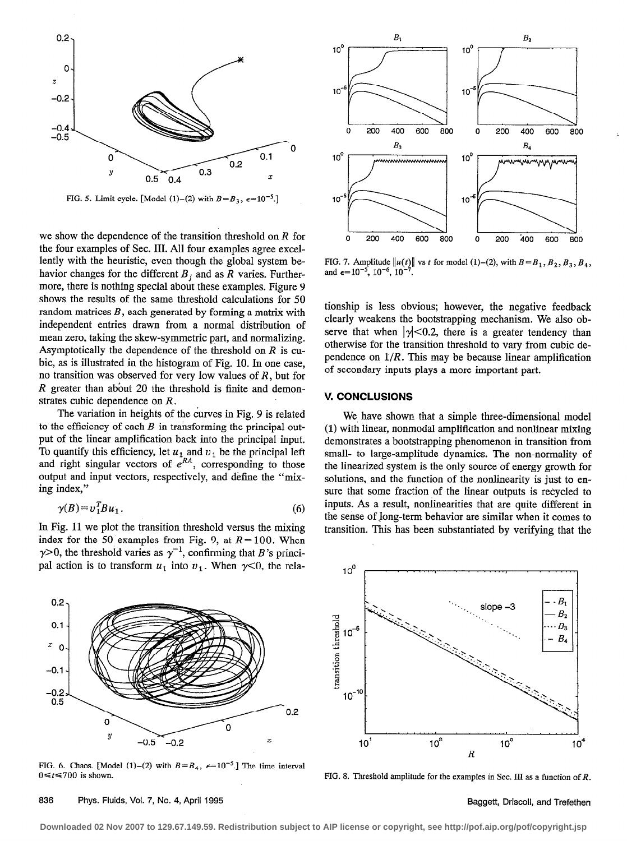

FIG. 5. Limit cycle. [Model (1)–(2) with  $B = B_3$ ,  $\epsilon = 10^{-5}$ .]

we show the dependence of the transition threshold on  $R$  for the four examples of Sec. III. All four examples agree excellently with the heuristic, even though the global system behavior changes for the different  $B_i$  and as R varies. Furthermore, there is nothing special about these examples. Figure 9 shows the results of the same threshold calculations for 50 random matrices  $B$ , each generated by forming a matrix with independent entries drawn from a normal distribution of mean zero, taking the skew-symmetric part, and normalizing. Asymptotically the dependence of the threshold on  $R$  is cubic, as is illustrated in the histogram of Fig. 10. In one case, no transition was observed for very low values of  $R$ , but for R greater than about 20 the threshold is finite and demonstrates cubic dependence on R.

The variation in heights of the curves in Fig. 9 is related to the efficiency of each  $B$  in transforming the principal output of the linear amplification back into the principal input. To quantify this efficiency, let  $u_1$  and  $v_1$  be the principal left and right singular vectors of  $e^{RA}$ , corresponding to those output and input vectors, respectively, and define the "mixing index,"

$$
\gamma(B) = v_1^T B u_1. \tag{6}
$$

In Fig. 11 we plot the transition threshold versus the mixing index for the 50 examples from Fig. 9, at  $R = 100$ . When  $\gamma$ >0, the threshold varies as  $\gamma^{-1}$ , confirming that B's principal action is to transform  $u_1$  into  $v_1$ . When  $\gamma$ <0, the rela-



FIG. 6. Chaos. [Model (1)–(2) with  $B=B_4$ ,  $\epsilon=10^{-5}$ .] The time interval  $0 \le t \le 700$  is shown.  $FIG. 8$ . Threshold amplitude for the examples in Sec. III as a function of R.

836 Phys. Fluids, Vol. 7, No. 4, April 1995 Baggett, Driscoll, and Trefethen



FIG. 7. Amplitude  $||u(t)||$  vs t for model (1)–(2), with  $B = B_1, B_2, B_3, B_4$ and  $\epsilon = 10^{-5}$ ,  $10^{-6}$ ,  $10^{-7}$ .

tionship is less obvious; however, the negative feedback clearly weakens the bootstrapping mechanism. We also observe that when  $|\gamma|$ <0.2, there is a greater tendency than otherwise for the transition threshold to vary from cubic dependence on  $1/R$ . This may be because linear amplification of secondary inputs plays a more important part.

### **V. CONCLUSIONS**

We have shown that a simple three-dimensional model (1) with linear, nonmodal amplification and nonlinear mixing demonstrates a bootstrapping phenomenon in transition from small- to large-amplitude dynamics. The non-normality of the linearized system is the only source of energy growth for solutions, and the function of the nonlinearity is just to ensure that some fraction of the linear outputs is recycled to inputs. As a result, nonlinearities that are quite different in the sense of,long-term behavior are similar when it comes to transition. This has been substantiated by verifying that the

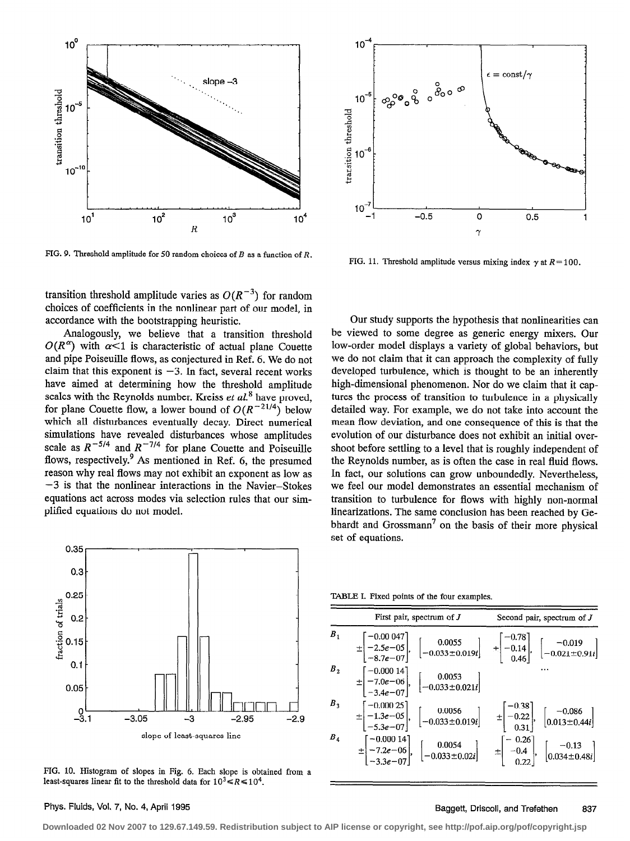

FIG. 9. Threshold amplitude for 50 random choices of  $B$  as a function of  $R$ .

transition threshold amplitude varies as  $O(R^{-3})$  for random choices of coefficients in the nonlinear part of our model, in accordance with the bootstrapping heuristic.

Analogously, we believe that a transition threshold  $O(R^{\alpha})$  with  $\alpha$ <1 is characteristic of actual plane Couette and pipe Poiseuille flows, as conjectured in Ref. 6. We do not claim that this exponent is  $-3$ . In fact, several recent works have aimed at determining how the threshold amplitude scales with the Reynolds number. Kreiss et  $al<sup>8</sup>$  have proved, for plane Couette flow, a lower bound of  $O(R^{-21/4})$  below which all disturbances eventually decay. Direct numerical simulations have revealed disturbances whose amplitudes scale as  $R^{-5/4}$  and  $R^{-7/4}$  for plane Couette and Poiseuille flows, respectively.<sup>9</sup> As mentioned in Ref. 6, the presumed reason why real flows may not exhibit an exponent as low as -3 is that the nonlinear interactions in the Navier-Stokes equations act across modes via selection rules that our simplified equations do not model.



FIG. 10. Histogram of slopes in Fig. 6. Each slope is obtained from a least-squares linear fit to the threshold data for  $10^3 \le R \le 10^4$ .



FIG. 11. Threshold amplitude versus mixing index  $\gamma$  at  $R = 100$ .

Our study supports the hypothesis that nonlinearities can be viewed to some degree as generic energy mixers. Our low-order model displays a variety of global behaviors, but we do not claim that it can approach the complexity of fully developed turbulence, which is thought to be an inherently high-dimensional phenomenon. Nor do we claim that it captures the process of transition to turbulence in a physically detailed way. For example, we do not take into account the mean flow deviation, and one consequence of this is that the evolution of our disturbance does not exhibit an initial overshoot before settling to a level that is roughly independent of the Reynolds number, as is often the case in real fluid flows. In fact, our solutions can grow unboundedly. Nevertheless, we feel our model demonstrates an essential mechanism of transition to turbulence for flows with highly non-normal linearizations. The same conclusion has been reached by Gebhardt and Grossmann<sup>7</sup> on the basis of their more physical set of equations.

|  |  |  |  |  |  | TABLE I. Fixed points of the four examples. |
|--|--|--|--|--|--|---------------------------------------------|
|--|--|--|--|--|--|---------------------------------------------|

|                | First pair, spectrum of $J$                                                                                                                                                                                                                               | Second pair, spectrum of $J$ |  |  |  |
|----------------|-----------------------------------------------------------------------------------------------------------------------------------------------------------------------------------------------------------------------------------------------------------|------------------------------|--|--|--|
| B <sub>1</sub> | $\pm \begin{bmatrix} -0.00 & 047 \\ -2.5e-05 \\ -8.7e-07 \end{bmatrix}, \begin{bmatrix} 0.0055 \\ -0.033 \pm 0.019i \end{bmatrix} \pm \begin{bmatrix} -0.78 \\ -0.14 \\ 0.46 \end{bmatrix}, \begin{bmatrix} -0.019 \\ -0.021 \pm 0.91i \end{bmatrix}$     |                              |  |  |  |
| $B_{\rm 2}$    | $\pm \begin{bmatrix} -0.000 & 14 \\ -7.0e-06 \\ -3.4e-07 \end{bmatrix}, \quad \begin{bmatrix} 0.0053 \\ -0.033 \pm 0.021i \end{bmatrix}$                                                                                                                  |                              |  |  |  |
| $B_3$          | $\pm \begin{bmatrix} -0.000\ 25 \\ -1.3e-05 \\ -5.3e-07 \end{bmatrix}, \begin{bmatrix} 0.0056 \\ -0.033 \pm 0.019i \end{bmatrix} \quad \pm \begin{bmatrix} -0.38 \\ -0.22 \\ 0.31 \end{bmatrix}, \begin{bmatrix} -0.086 \\ 0.013 \pm 0.44i \end{bmatrix}$ |                              |  |  |  |
| $B_4$          | $\pm \begin{bmatrix} -0.000 & 14 \\ -7.2e-06 \\ -3.3e-07 \end{bmatrix}, \begin{bmatrix} 0.0054 \\ -0.033 \pm 0.02i \end{bmatrix} \pm \begin{bmatrix} -0.26 \\ -0.4 \\ 0.22 \end{bmatrix}, \begin{bmatrix} -0.13 \\ 0.034 \pm 0.48i \end{bmatrix}$         |                              |  |  |  |
|                |                                                                                                                                                                                                                                                           |                              |  |  |  |

# Phys. Fluids, Vol. 7, No. 4, April 1995 **Baggett**, Driscoll, and Trefethen 837